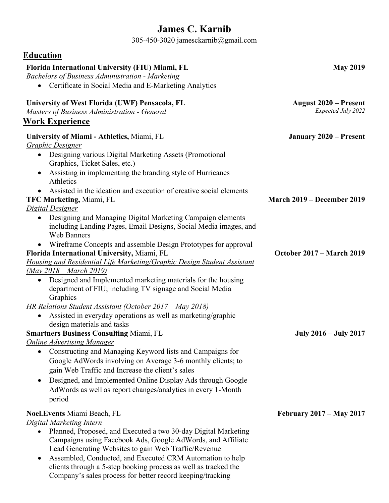# **James C. Karnib**

305-450-3020 jamesckarnib@gmail.com

| Florida International University (FIU) Miami, FL                                                                                                                                                                                                                                                                                                                                                                                  | <b>May 2019</b>                                    |
|-----------------------------------------------------------------------------------------------------------------------------------------------------------------------------------------------------------------------------------------------------------------------------------------------------------------------------------------------------------------------------------------------------------------------------------|----------------------------------------------------|
| <b>Bachelors of Business Administration - Marketing</b><br>Certificate in Social Media and E-Marketing Analytics<br>$\bullet$                                                                                                                                                                                                                                                                                                     |                                                    |
| University of West Florida (UWF) Pensacola, FL<br>Masters of Business Administration - General                                                                                                                                                                                                                                                                                                                                    | <b>August 2020 – Present</b><br>Expected July 2022 |
| <b>Work Experience</b>                                                                                                                                                                                                                                                                                                                                                                                                            |                                                    |
| University of Miami - Athletics, Miami, FL<br>Graphic Designer<br>Designing various Digital Marketing Assets (Promotional<br>$\bullet$                                                                                                                                                                                                                                                                                            | <b>January 2020 – Present</b>                      |
| Graphics, Ticket Sales, etc.)<br>Assisting in implementing the branding style of Hurricanes<br>$\bullet$                                                                                                                                                                                                                                                                                                                          |                                                    |
| Athletics<br>Assisted in the ideation and execution of creative social elements<br><b>TFC Marketing, Miami, FL</b>                                                                                                                                                                                                                                                                                                                | <b>March 2019 – December 2019</b>                  |
| <b>Digital Designer</b><br>Designing and Managing Digital Marketing Campaign elements<br>$\bullet$<br>including Landing Pages, Email Designs, Social Media images, and<br><b>Web Banners</b>                                                                                                                                                                                                                                      |                                                    |
| Wireframe Concepts and assemble Design Prototypes for approval<br>$\bullet$<br>Florida International University, Miami, FL<br>Housing and Residential Life Marketing/Graphic Design Student Assistant                                                                                                                                                                                                                             | <b>October 2017 – March 2019</b>                   |
| (May 2018 – March 2019)<br>Designed and Implemented marketing materials for the housing<br>$\bullet$<br>department of FIU; including TV signage and Social Media<br>Graphics                                                                                                                                                                                                                                                      |                                                    |
| <u> HR Relations Student Assistant (October 2017 – May 2018)</u><br>Assisted in everyday operations as well as marketing/graphic<br>$\bullet$<br>design materials and tasks                                                                                                                                                                                                                                                       |                                                    |
| <b>Smartners Business Consulting Miami, FL</b>                                                                                                                                                                                                                                                                                                                                                                                    | <b>July 2016 – July 2017</b>                       |
| <b>Online Advertising Manager</b><br>Constructing and Managing Keyword lists and Campaigns for<br>٠<br>Google AdWords involving on Average 3-6 monthly clients; to<br>gain Web Traffic and Increase the client's sales<br>Designed, and Implemented Online Display Ads through Google<br>$\bullet$<br>AdWords as well as report changes/analytics in every 1-Month<br>period                                                      |                                                    |
| <b>Noel.Events Miami Beach, FL</b>                                                                                                                                                                                                                                                                                                                                                                                                | <b>February 2017 – May 2017</b>                    |
| Digital Marketing Intern<br>Planned, Proposed, and Executed a two 30-day Digital Marketing<br>$\bullet$<br>Campaigns using Facebook Ads, Google AdWords, and Affiliate<br>Lead Generating Websites to gain Web Traffic/Revenue<br>Assembled, Conducted, and Executed CRM Automation to help<br>٠<br>clients through a 5-step booking process as well as tracked the<br>Company's sales process for better record keeping/tracking |                                                    |